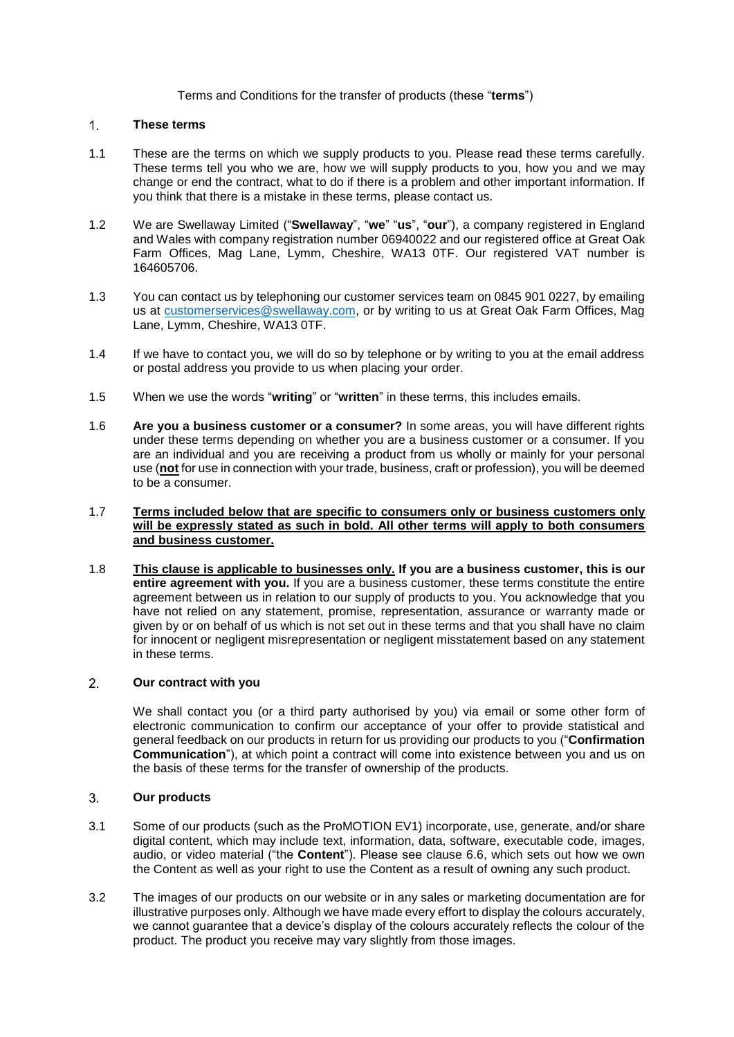# Terms and Conditions for the transfer of products (these "**terms**")

### $1<sup>1</sup>$ **These terms**

- 1.1 These are the terms on which we supply products to you. Please read these terms carefully. These terms tell you who we are, how we will supply products to you, how you and we may change or end the contract, what to do if there is a problem and other important information. If you think that there is a mistake in these terms, please contact us.
- 1.2 We are Swellaway Limited ("**Swellaway**", "**we**" "**us**", "**our**"), a company registered in England and Wales with company registration number 06940022 and our registered office at Great Oak Farm Offices, Mag Lane, Lymm, Cheshire, WA13 0TF. Our registered VAT number is 164605706.
- 1.3 You can contact us by telephoning our customer services team on 0845 901 0227, by emailing us at [customerservices@swellaway.com,](mailto:customerservices@swellaway.com) or by writing to us at Great Oak Farm Offices, Mag Lane, Lymm, Cheshire, WA13 0TF.
- 1.4 If we have to contact you, we will do so by telephone or by writing to you at the email address or postal address you provide to us when placing your order.
- 1.5 When we use the words "**writing**" or "**written**" in these terms, this includes emails.
- 1.6 **Are you a business customer or a consumer?** In some areas, you will have different rights under these terms depending on whether you are a business customer or a consumer. If you are an individual and you are receiving a product from us wholly or mainly for your personal use (**not** for use in connection with your trade, business, craft or profession), you will be deemed to be a consumer.
- 1.7 **Terms included below that are specific to consumers only or business customers only will be expressly stated as such in bold. All other terms will apply to both consumers and business customer.**
- 1.8 **This clause is applicable to businesses only. If you are a business customer, this is our entire agreement with you.** If you are a business customer, these terms constitute the entire agreement between us in relation to our supply of products to you. You acknowledge that you have not relied on any statement, promise, representation, assurance or warranty made or given by or on behalf of us which is not set out in these terms and that you shall have no claim for innocent or negligent misrepresentation or negligent misstatement based on any statement in these terms.

# $2<sup>1</sup>$ **Our contract with you**

We shall contact you (or a third party authorised by you) via email or some other form of electronic communication to confirm our acceptance of your offer to provide statistical and general feedback on our products in return for us providing our products to you ("**Confirmation Communication**"), at which point a contract will come into existence between you and us on the basis of these terms for the transfer of ownership of the products.

#### $3<sub>1</sub>$ **Our products**

- <span id="page-0-0"></span>3.1 Some of our products (such as the ProMOTION EV1) incorporate, use, generate, and/or share digital content, which may include text, information, data, software, executable code, images, audio, or video material ("the **Content**"). Please see clause [6.6,](#page-2-0) which sets out how we own the Content as well as your right to use the Content as a result of owning any such product.
- 3.2 The images of our products on our website or in any sales or marketing documentation are for illustrative purposes only. Although we have made every effort to display the colours accurately, we cannot guarantee that a device's display of the colours accurately reflects the colour of the product. The product you receive may vary slightly from those images.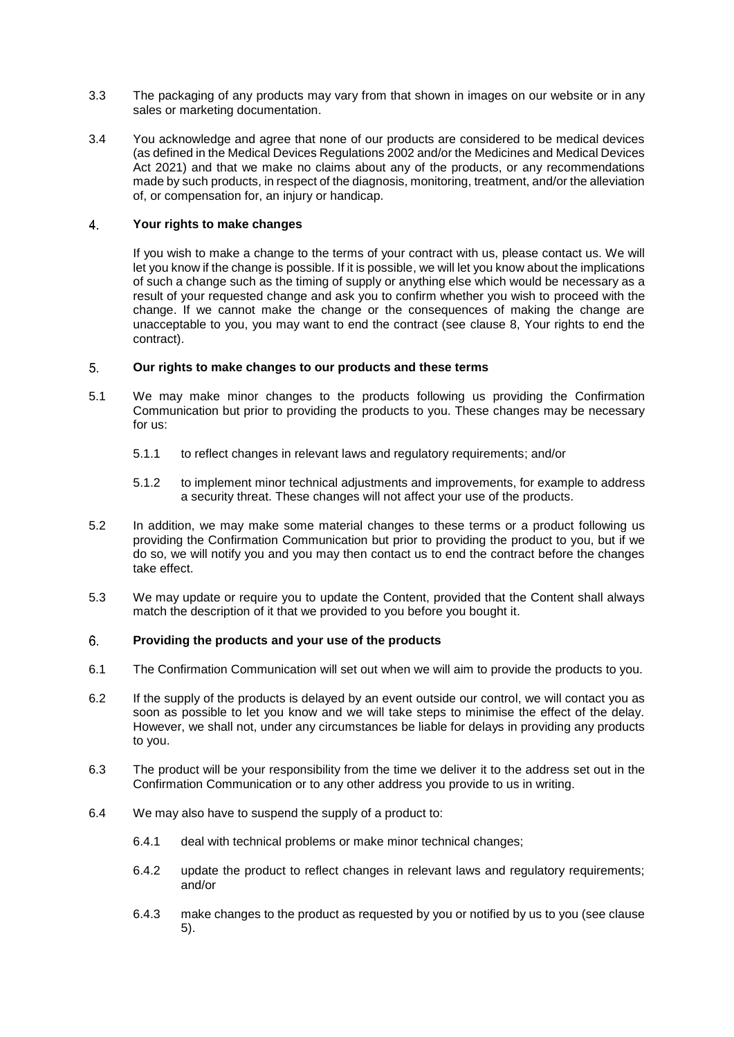- 3.3 The packaging of any products may vary from that shown in images on our website or in any sales or marketing documentation.
- 3.4 You acknowledge and agree that none of our products are considered to be medical devices (as defined in the Medical Devices Regulations 2002 and/or the Medicines and Medical Devices Act 2021) and that we make no claims about any of the products, or any recommendations made by such products, in respect of the diagnosis, monitoring, treatment, and/or the alleviation of, or compensation for, an injury or handicap.

## $\overline{4}$ . **Your rights to make changes**

If you wish to make a change to the terms of your contract with us, please contact us. We will let you know if the change is possible. If it is possible, we will let you know about the implications of such a change such as the timing of supply or anything else which would be necessary as a result of your requested change and ask you to confirm whether you wish to proceed with the change. If we cannot make the change or the consequences of making the change are unacceptable to you, you may want to end the contract (see clause [8,](#page-2-1) Your rights to end the contract).

### <span id="page-1-0"></span>5. **Our rights to make changes to our products and these terms**

- 5.1 We may make minor changes to the products following us providing the Confirmation Communication but prior to providing the products to you. These changes may be necessary for us:
	- 5.1.1 to reflect changes in relevant laws and regulatory requirements; and/or
	- 5.1.2 to implement minor technical adjustments and improvements, for example to address a security threat. These changes will not affect your use of the products.
- <span id="page-1-1"></span>5.2 In addition, we may make some material changes to these terms or a product following us providing the Confirmation Communication but prior to providing the product to you, but if we do so, we will notify you and you may then contact us to end the contract before the changes take effect.
- 5.3 We may update or require you to update the Content, provided that the Content shall always match the description of it that we provided to you before you bought it.

## 6. **Providing the products and your use of the products**

- 6.1 The Confirmation Communication will set out when we will aim to provide the products to you.
- 6.2 If the supply of the products is delayed by an event outside our control, we will contact you as soon as possible to let you know and we will take steps to minimise the effect of the delay. However, we shall not, under any circumstances be liable for delays in providing any products to you.
- 6.3 The product will be your responsibility from the time we deliver it to the address set out in the Confirmation Communication or to any other address you provide to us in writing.
- 6.4 We may also have to suspend the supply of a product to:
	- 6.4.1 deal with technical problems or make minor technical changes;
	- 6.4.2 update the product to reflect changes in relevant laws and regulatory requirements; and/or
	- 6.4.3 make changes to the product as requested by you or notified by us to you (see clause [5\)](#page-1-0).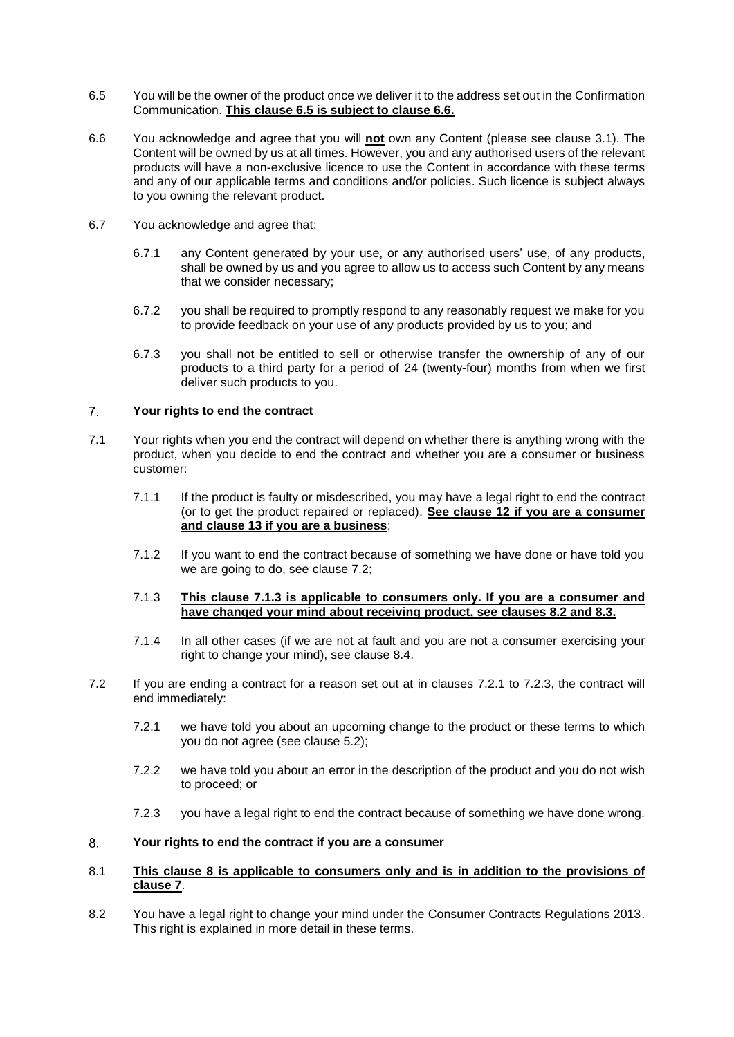- <span id="page-2-2"></span>6.5 You will be the owner of the product once we deliver it to the address set out in the Confirmation Communication. **This clause [6.5](#page-2-2) is subject to clause [6.6.](#page-2-0)**
- <span id="page-2-0"></span>6.6 You acknowledge and agree that you will **not** own any Content (please see clause [3.1\)](#page-0-0). The Content will be owned by us at all times. However, you and any authorised users of the relevant products will have a non-exclusive licence to use the Content in accordance with these terms and any of our applicable terms and conditions and/or policies. Such licence is subject always to you owning the relevant product.
- <span id="page-2-9"></span>6.7 You acknowledge and agree that:
	- 6.7.1 any Content generated by your use, or any authorised users' use, of any products, shall be owned by us and you agree to allow us to access such Content by any means that we consider necessary;
	- 6.7.2 you shall be required to promptly respond to any reasonably request we make for you to provide feedback on your use of any products provided by us to you; and
	- 6.7.3 you shall not be entitled to sell or otherwise transfer the ownership of any of our products to a third party for a period of 24 (twenty-four) months from when we first deliver such products to you.

## <span id="page-2-8"></span> $7<sup>1</sup>$ **Your rights to end the contract**

- 7.1 Your rights when you end the contract will depend on whether there is anything wrong with the product, when you decide to end the contract and whether you are a consumer or business customer:
	- 7.1.1 If the product is faulty or misdescribed, you may have a legal right to end the contract (or to get the product repaired or replaced). **See clause [12](#page-4-0) if you are a consumer and clause [13](#page-4-1) if you are a business**;
	- 7.1.2 If you want to end the contract because of something we have done or have told you we are going to do, see clause [7.2;](#page-2-3)

# <span id="page-2-4"></span>7.1.3 **This clause [7.1.3](#page-2-4) is applicable to consumers only. If you are a consumer and have changed your mind about receiving product, see clauses [8.2](#page-2-5) and [8.3.](#page-3-0)**

- 7.1.4 In all other cases (if we are not at fault and you are not a consumer exercising your right to change your mind), see clause [8.4.](#page-3-1)
- <span id="page-2-6"></span><span id="page-2-3"></span>7.2 If you are ending a contract for a reason set out at in clauses [7.2.1](#page-2-6) to [7.2.3,](#page-2-7) the contract will end immediately:
	- 7.2.1 we have told you about an upcoming change to the product or these terms to which you do not agree (see clause [5.2\)](#page-1-1);
	- 7.2.2 we have told you about an error in the description of the product and you do not wish to proceed; or
	- 7.2.3 you have a legal right to end the contract because of something we have done wrong.

# <span id="page-2-7"></span><span id="page-2-1"></span>8. **Your rights to end the contract if you are a consumer**

# 8.1 **This clause [8](#page-2-1) is applicable to consumers only and is in addition to the provisions of clause [7](#page-2-8)**.

<span id="page-2-5"></span>8.2 You have a legal right to change your mind under the Consumer Contracts Regulations 2013. This right is explained in more detail in these terms.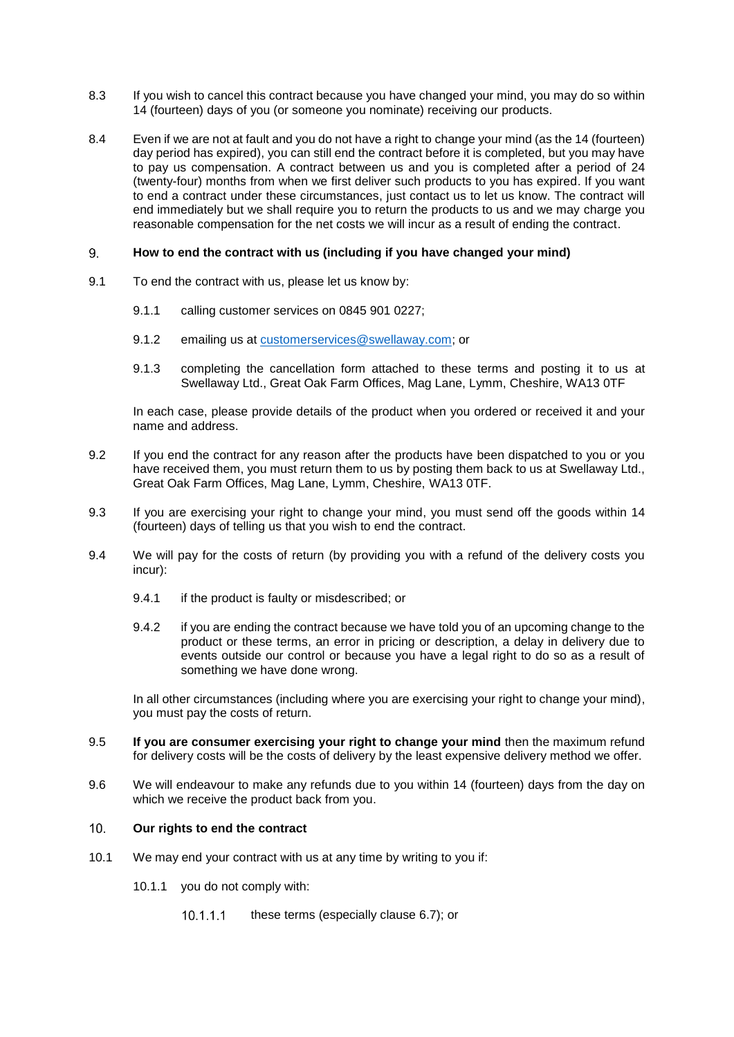- <span id="page-3-0"></span>8.3 If you wish to cancel this contract because you have changed your mind, you may do so within 14 (fourteen) days of you (or someone you nominate) receiving our products.
- <span id="page-3-1"></span>8.4 Even if we are not at fault and you do not have a right to change your mind (as the 14 (fourteen) day period has expired), you can still end the contract before it is completed, but you may have to pay us compensation. A contract between us and you is completed after a period of 24 (twenty-four) months from when we first deliver such products to you has expired. If you want to end a contract under these circumstances, just contact us to let us know. The contract will end immediately but we shall require you to return the products to us and we may charge you reasonable compensation for the net costs we will incur as a result of ending the contract.

### 9. **How to end the contract with us (including if you have changed your mind)**

- 9.1 To end the contract with us, please let us know by:
	- 9.1.1 calling customer services on 0845 901 0227;
	- 9.1.2 emailing us at [customerservices@swellaway.com;](mailto:customerservices@swellaway.com) or
	- 9.1.3 completing the cancellation form attached to these terms and posting it to us at Swellaway Ltd., Great Oak Farm Offices, Mag Lane, Lymm, Cheshire, WA13 0TF

In each case, please provide details of the product when you ordered or received it and your name and address.

- 9.2 If you end the contract for any reason after the products have been dispatched to you or you have received them, you must return them to us by posting them back to us at Swellaway Ltd., Great Oak Farm Offices, Mag Lane, Lymm, Cheshire, WA13 0TF.
- 9.3 If you are exercising your right to change your mind, you must send off the goods within 14 (fourteen) days of telling us that you wish to end the contract.
- 9.4 We will pay for the costs of return (by providing you with a refund of the delivery costs you incur):
	- 9.4.1 if the product is faulty or misdescribed; or
	- 9.4.2 if you are ending the contract because we have told you of an upcoming change to the product or these terms, an error in pricing or description, a delay in delivery due to events outside our control or because you have a legal right to do so as a result of something we have done wrong.

In all other circumstances (including where you are exercising your right to change your mind), you must pay the costs of return.

- 9.5 **If you are consumer exercising your right to change your mind** then the maximum refund for delivery costs will be the costs of delivery by the least expensive delivery method we offer.
- 9.6 We will endeavour to make any refunds due to you within 14 (fourteen) days from the day on which we receive the product back from you.

## $10.$ **Our rights to end the contract**

- <span id="page-3-2"></span>10.1 We may end your contract with us at any time by writing to you if:
	- 10.1.1 you do not comply with:
		- $10.1.1.1$ these terms (especially clause [6.7\)](#page-2-9); or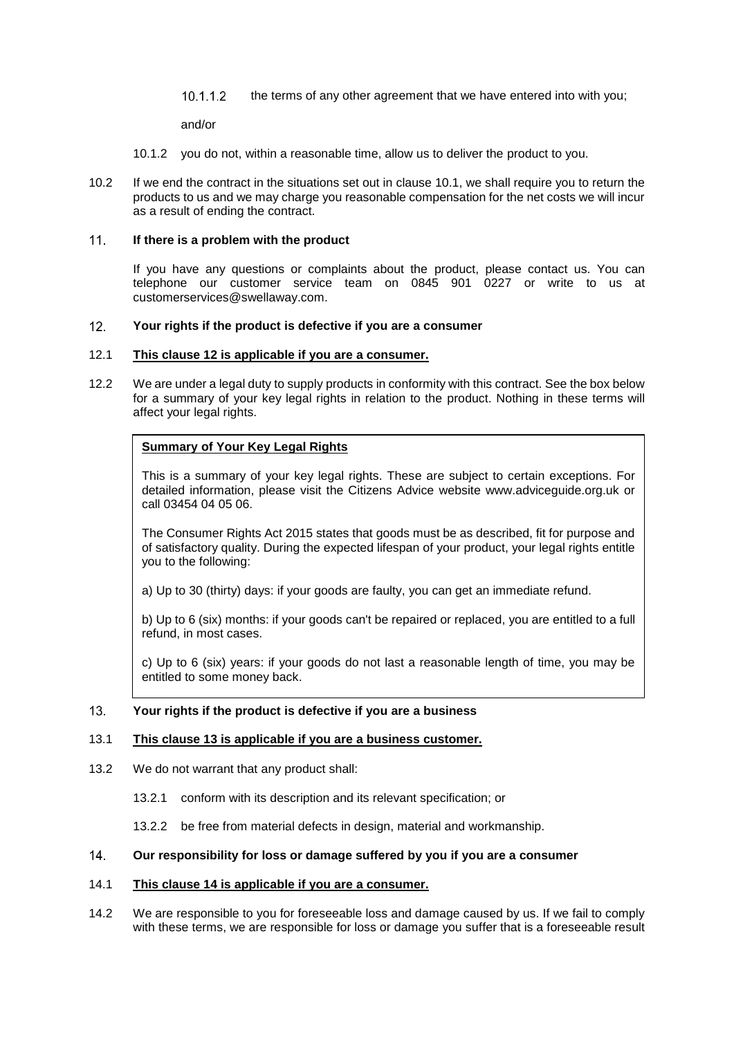10.1.1.2 the terms of any other agreement that we have entered into with you;

and/or

- 10.1.2 you do not, within a reasonable time, allow us to deliver the product to you.
- 10.2 If we end the contract in the situations set out in clause [10.1,](#page-3-2) we shall require you to return the products to us and we may charge you reasonable compensation for the net costs we will incur as a result of ending the contract.

### $11$ **If there is a problem with the product**

If you have any questions or complaints about the product, please contact us. You can telephone our customer service team on 0845 901 0227 or write to us at customerservices@swellaway.com.

## <span id="page-4-0"></span> $12<sub>1</sub>$ **Your rights if the product is defective if you are a consumer**

# 12.1 **This clause [12](#page-4-0) is applicable if you are a consumer.**

<span id="page-4-3"></span>12.2 We are under a legal duty to supply products in conformity with this contract. See the box below for a summary of your key legal rights in relation to the product. Nothing in these terms will affect your legal rights.

# **Summary of Your Key Legal Rights**

This is a summary of your key legal rights. These are subject to certain exceptions. For detailed information, please visit the Citizens Advice website www.adviceguide.org.uk or call 03454 04 05 06.

The Consumer Rights Act 2015 states that goods must be as described, fit for purpose and of satisfactory quality. During the expected lifespan of your product, your legal rights entitle you to the following:

a) Up to 30 (thirty) days: if your goods are faulty, you can get an immediate refund.

b) Up to 6 (six) months: if your goods can't be repaired or replaced, you are entitled to a full refund, in most cases.

c) Up to 6 (six) years: if your goods do not last a reasonable length of time, you may be entitled to some money back.

#### <span id="page-4-1"></span> $13.$ **Your rights if the product is defective if you are a business**

# 13.1 **This clause [13](#page-4-1) is applicable if you are a business customer.**

- 13.2 We do not warrant that any product shall:
	- 13.2.1 conform with its description and its relevant specification; or

13.2.2 be free from material defects in design, material and workmanship.

## <span id="page-4-2"></span> $14$ **Our responsibility for loss or damage suffered by you if you are a consumer**

# 14.1 **This clause [14](#page-4-2) is applicable if you are a consumer.**

14.2 We are responsible to you for foreseeable loss and damage caused by us. If we fail to comply with these terms, we are responsible for loss or damage you suffer that is a foreseeable result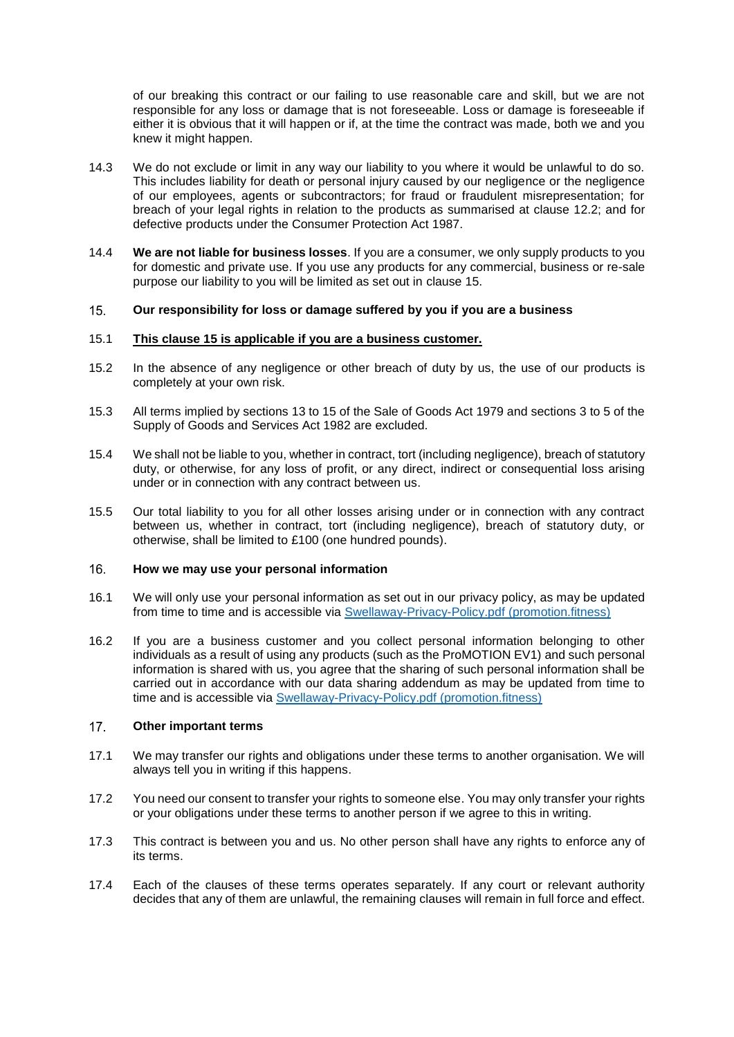of our breaking this contract or our failing to use reasonable care and skill, but we are not responsible for any loss or damage that is not foreseeable. Loss or damage is foreseeable if either it is obvious that it will happen or if, at the time the contract was made, both we and you knew it might happen.

- 14.3 We do not exclude or limit in any way our liability to you where it would be unlawful to do so. This includes liability for death or personal injury caused by our negligence or the negligence of our employees, agents or subcontractors; for fraud or fraudulent misrepresentation; for breach of your legal rights in relation to the products as summarised at clause [12.2;](#page-4-3) and for defective products under the Consumer Protection Act 1987.
- 14.4 **We are not liable for business losses**. If you are a consumer, we only supply products to you for domestic and private use. If you use any products for any commercial, business or re-sale purpose our liability to you will be limited as set out in clause [15.](#page-5-0)

#### <span id="page-5-0"></span> $15.$ **Our responsibility for loss or damage suffered by you if you are a business**

# 15.1 **This clause [15](#page-5-0) is applicable if you are a business customer.**

- 15.2 In the absence of any negligence or other breach of duty by us, the use of our products is completely at your own risk.
- 15.3 All terms implied by sections 13 to 15 of the Sale of Goods Act 1979 and sections 3 to 5 of the Supply of Goods and Services Act 1982 are excluded.
- 15.4 We shall not be liable to you, whether in contract, tort (including negligence), breach of statutory duty, or otherwise, for any loss of profit, or any direct, indirect or consequential loss arising under or in connection with any contract between us.
- 15.5 Our total liability to you for all other losses arising under or in connection with any contract between us, whether in contract, tort (including negligence), breach of statutory duty, or otherwise, shall be limited to £100 (one hundred pounds).

#### $16.$ **How we may use your personal information**

- 16.1 We will only use your personal information as set out in our privacy policy, as may be updated from time to time and is accessible via [Swellaway-Privacy-Policy.pdf \(promotion.fitness\)](https://promotion.fitness/wp-content/uploads/2021/10/Swellaway-Privacy-Policy.pdf)
- 16.2 If you are a business customer and you collect personal information belonging to other individuals as a result of using any products (such as the ProMOTION EV1) and such personal information is shared with us, you agree that the sharing of such personal information shall be carried out in accordance with our data sharing addendum as may be updated from time to time and is accessible via [Swellaway-Privacy-Policy.pdf \(promotion.fitness\)](https://promotion.fitness/wp-content/uploads/2021/10/Swellaway-Privacy-Policy.pdf)

#### $17<sub>1</sub>$ **Other important terms**

- 17.1 We may transfer our rights and obligations under these terms to another organisation. We will always tell you in writing if this happens.
- 17.2 You need our consent to transfer your rights to someone else. You may only transfer your rights or your obligations under these terms to another person if we agree to this in writing.
- 17.3 This contract is between you and us. No other person shall have any rights to enforce any of its terms.
- 17.4 Each of the clauses of these terms operates separately. If any court or relevant authority decides that any of them are unlawful, the remaining clauses will remain in full force and effect.